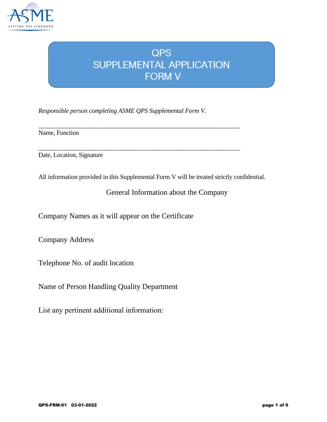

## **QPS** SUPPLEMENTAL APPLICATION **FORM V**

*Responsible person completing ASME QPS Supplemental Form V.* 

\_\_\_\_\_\_\_\_\_\_\_\_\_\_\_\_\_\_\_\_\_\_\_\_\_\_\_\_\_\_\_\_\_\_\_\_\_\_\_\_\_\_\_\_\_\_\_\_\_\_\_\_\_\_\_\_\_\_\_\_\_\_\_\_

\_\_\_\_\_\_\_\_\_\_\_\_\_\_\_\_\_\_\_\_\_\_\_\_\_\_\_\_\_\_\_\_\_\_\_\_\_\_\_\_\_\_\_\_\_\_\_\_\_\_\_\_\_\_\_\_\_\_\_\_\_\_\_\_

Name, Function

Date, Location, Signature

All information provided in this Supplemental Form V will be treated strictly confidential.

General Information about the Company

Company Names as it will appear on the Certificate

Company Address

Telephone No. of audit location

Name of Person Handling Quality Department

List any pertinent additional information: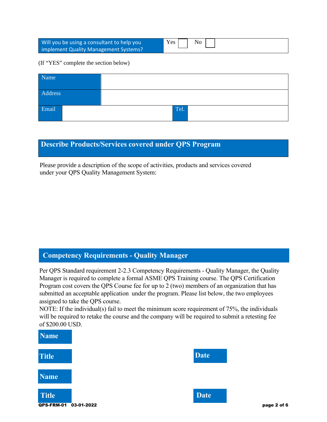| Will you be using a consultant to help you | Yes.<br>N <sub>o</sub> |
|--------------------------------------------|------------------------|
| implement Quality Management Systems?      |                        |

(If "YES" complete the section below)

| Name    |  |      |
|---------|--|------|
| Address |  |      |
| Email   |  | Tel. |

## **Describe Products/Services covered under QPS Program**

Please provide a description of the scope of activities, products and services covered under your QPS Quality Management System:

## **Competency Requirements - Quality Manager**

Per QPS Standard requirement 2-2.3 Competency Requirements - Quality Manager, the Quality Manager is required to complete a formal ASME QPS Training course. The QPS Certification Program cost covers the QPS Course fee for up to 2 (two) members of an organization that has submitted an acceptable application under the program. Please list below, the two employees assigned to take the QPS course.

NOTE: If the individual(s) fail to meet the minimum score requirement of 75%, the individuals will be required to retake the course and the company will be required to submit a retesting fee of \$200.00 USD.

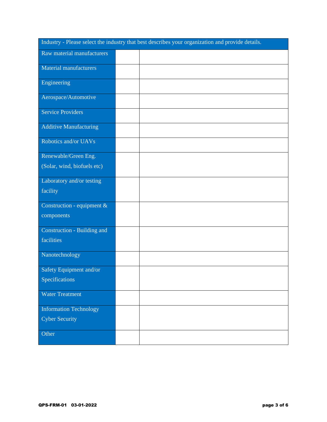|                               | Industry - Please select the industry that best describes your organization and provide details. |
|-------------------------------|--------------------------------------------------------------------------------------------------|
| Raw material manufacturers    |                                                                                                  |
| <b>Material manufacturers</b> |                                                                                                  |
| Engineering                   |                                                                                                  |
| Aerospace/Automotive          |                                                                                                  |
| <b>Service Providers</b>      |                                                                                                  |
| <b>Additive Manufacturing</b> |                                                                                                  |
| Robotics and/or UAVs          |                                                                                                  |
| Renewable/Green Eng.          |                                                                                                  |
| (Solar, wind, biofuels etc)   |                                                                                                  |
| Laboratory and/or testing     |                                                                                                  |
| facility                      |                                                                                                  |
| Construction - equipment &    |                                                                                                  |
| components                    |                                                                                                  |
| Construction - Building and   |                                                                                                  |
| facilities                    |                                                                                                  |
| Nanotechnology                |                                                                                                  |
| Safety Equipment and/or       |                                                                                                  |
| Specifications                |                                                                                                  |
| <b>Water Treatment</b>        |                                                                                                  |
| <b>Information Technology</b> |                                                                                                  |
| <b>Cyber Security</b>         |                                                                                                  |
| Other                         |                                                                                                  |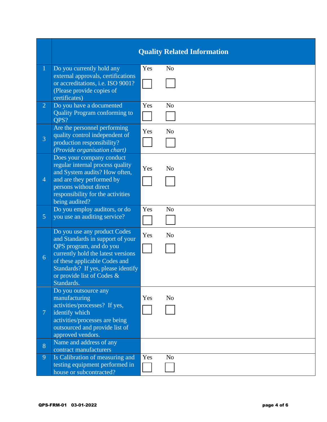|                          |                                                                                                                                                                                                                                                         |     | <b>Quality Related Information</b> |
|--------------------------|---------------------------------------------------------------------------------------------------------------------------------------------------------------------------------------------------------------------------------------------------------|-----|------------------------------------|
| $\mathbf{1}$             | Do you currently hold any<br>external approvals, certifications<br>or accreditations, i.e. ISO 9001?<br>(Please provide copies of<br>certificates)                                                                                                      | Yes | N <sub>o</sub>                     |
| $\overline{2}$           | Do you have a documented<br>Quality Program conforming to<br>QPS?                                                                                                                                                                                       | Yes | N <sub>o</sub>                     |
| 3                        | Are the personnel performing<br>quality control independent of<br>production responsibility?<br>(Provide organisation chart)                                                                                                                            | Yes | N <sub>o</sub>                     |
| $\overline{4}$           | Does your company conduct<br>regular internal process quality<br>and System audits? How often,<br>and are they performed by<br>persons without direct<br>responsibility for the activities<br>being audited?                                            | Yes | N <sub>o</sub>                     |
| $\overline{5}$           | Do you employ auditors, or do<br>you use an auditing service?                                                                                                                                                                                           | Yes | N <sub>o</sub>                     |
| 6                        | Do you use any product Codes<br>and Standards in support of your<br>QPS program, and do you<br>currently hold the latest versions<br>of these applicable Codes and<br>Standards? If yes, please identify<br>or provide list of Codes $\&$<br>Standards. | Yes | N <sub>o</sub>                     |
| $\overline{\mathcal{L}}$ | Do you outsource any<br>manufacturing<br>activities/processes? If yes,<br>identify which<br>activities/processes are being<br>outsourced and provide list of<br>approved vendors.                                                                       | Yes | N <sub>o</sub>                     |
| 8                        | Name and address of any<br>contract manufacturers                                                                                                                                                                                                       |     |                                    |
| 9                        | Is Calibration of measuring and<br>testing equipment performed in<br>house or subcontracted?                                                                                                                                                            | Yes | N <sub>o</sub>                     |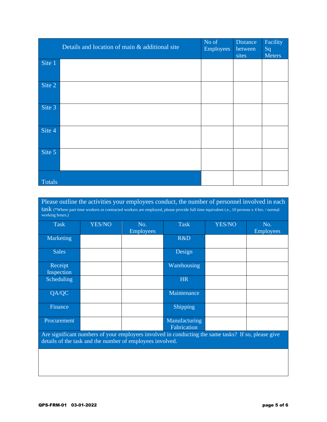|        | Details and location of main & additional site | No of<br>Employees | Distance<br>between<br>sites | Facility<br>Sq<br>Meters |
|--------|------------------------------------------------|--------------------|------------------------------|--------------------------|
| Site 1 |                                                |                    |                              |                          |
| Site 2 |                                                |                    |                              |                          |
| Site 3 |                                                |                    |                              |                          |
| Site 4 |                                                |                    |                              |                          |
| Site 5 |                                                |                    |                              |                          |
| Totals |                                                |                    |                              |                          |

Please outline the activities your employees conduct, the number of personnel involved in each task (\*Where part time workers or contracted workers are employed, please provide full time equivalent i.e., 10 persons x 4 hrs. / normal working hours.)

| <b>Task</b>                  | <b>YES/NO</b> | No.<br><b>Employees</b> | <b>Task</b>                                                                                                                               | <b>YES/NO</b> | No.<br><b>Employees</b> |
|------------------------------|---------------|-------------------------|-------------------------------------------------------------------------------------------------------------------------------------------|---------------|-------------------------|
| Marketing                    |               |                         | R&D                                                                                                                                       |               |                         |
| <b>Sales</b>                 |               |                         | Design                                                                                                                                    |               |                         |
| Receipt<br><b>Inspection</b> |               |                         | Warehousing                                                                                                                               |               |                         |
| Scheduling                   |               |                         | <b>HR</b>                                                                                                                                 |               |                         |
| QA/QC                        |               |                         | Maintenance                                                                                                                               |               |                         |
| Finance                      |               |                         | Shipping                                                                                                                                  |               |                         |
| Procurement                  |               |                         | Manufacturing<br>Fabrication                                                                                                              |               |                         |
|                              |               |                         | And its other continuous of second coordinates that determined to continuate a second and $\alpha$ and $\alpha$ and $\alpha$ and $\alpha$ |               |                         |

Are significant numbers of your employees involved in conducting the same tasks? If so, please give details of the task and the number of employees involved.